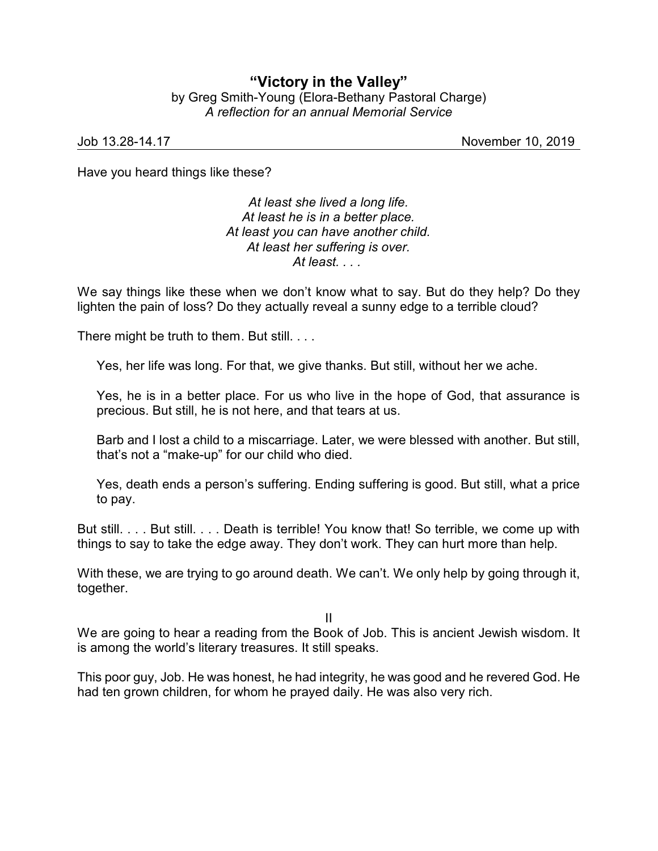## **"Victory in the Valley"** by Greg Smith-Young (Elora-Bethany Pastoral Charge) *A reflection for an annual Memorial Service*

Job 13.28-14.17 November 10, 2019

Have you heard things like these?

*At least she lived a long life. At least he is in a better place. At least you can have another child. At least her suffering is over. At least. . . .* 

We say things like these when we don't know what to say. But do they help? Do they lighten the pain of loss? Do they actually reveal a sunny edge to a terrible cloud?

There might be truth to them. But still. . . .

Yes, her life was long. For that, we give thanks. But still, without her we ache.

Yes, he is in a better place. For us who live in the hope of God, that assurance is precious. But still, he is not here, and that tears at us.

Barb and I lost a child to a miscarriage. Later, we were blessed with another. But still, that's not a "make-up" for our child who died.

Yes, death ends a person's suffering. Ending suffering is good. But still, what a price to pay.

But still. . . . But still. . . . Death is terrible! You know that! So terrible, we come up with things to say to take the edge away. They don't work. They can hurt more than help.

With these, we are trying to go around death. We can't. We only help by going through it, together.

II

We are going to hear a reading from the Book of Job. This is ancient Jewish wisdom. It is among the world's literary treasures. It still speaks.

This poor guy, Job. He was honest, he had integrity, he was good and he revered God. He had ten grown children, for whom he prayed daily. He was also very rich.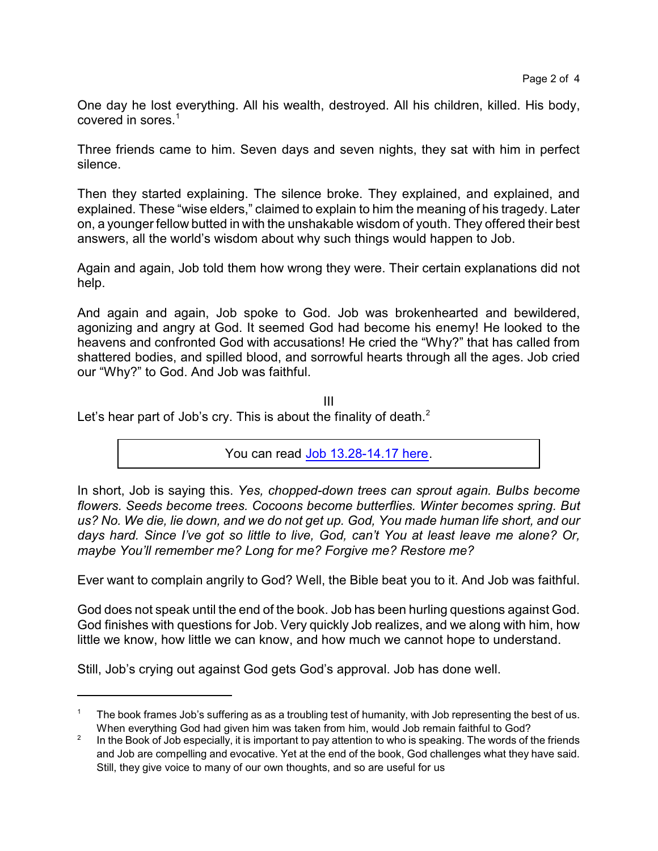One day he lost everything. All his wealth, destroyed. All his children, killed. His body, covered in sores.<sup>1</sup>

Three friends came to him. Seven days and seven nights, they sat with him in perfect silence.

Then they started explaining. The silence broke. They explained, and explained, and explained. These "wise elders," claimed to explain to him the meaning of his tragedy. Later on, a younger fellow butted in with the unshakable wisdom of youth. They offered their best answers, all the world's wisdom about why such things would happen to Job.

Again and again, Job told them how wrong they were. Their certain explanations did not help.

And again and again, Job spoke to God. Job was brokenhearted and bewildered, agonizing and angry at God. It seemed God had become his enemy! He looked to the heavens and confronted God with accusations! He cried the "Why?" that has called from shattered bodies, and spilled blood, and sorrowful hearts through all the ages. Job cried our "Why?" to God. And Job was faithful.

III

Let's hear part of Job's cry. This is about the finality of death. $<sup>2</sup>$ </sup>

You can read [Job 13.28-14.17 here](https://www.biblegateway.com/passage/?search=Job+13.28-14.17&version=CEB).

In short, Job is saying this. *Yes, chopped-down trees can sprout again. Bulbs become flowers. Seeds become trees. Cocoons become butterflies. Winter becomes spring. But us? No. We die, lie down, and we do not get up. God, You made human life short, and our days hard. Since I've got so little to live, God, can't You at least leave me alone? Or, maybe You'll remember me? Long for me? Forgive me? Restore me?* 

Ever want to complain angrily to God? Well, the Bible beat you to it. And Job was faithful.

God does not speak until the end of the book. Job has been hurling questions against God. God finishes with questions for Job. Very quickly Job realizes, and we along with him, how little we know, how little we can know, and how much we cannot hope to understand.

Still, Job's crying out against God gets God's approval. Job has done well.

<sup>&</sup>lt;sup>1</sup> The book frames Job's suffering as as a troubling test of humanity, with Job representing the best of us. When everything God had given him was taken from him, would Job remain faithful to God?

<sup>2</sup> In the Book of Job especially, it is important to pay attention to who is speaking. The words of the friends and Job are compelling and evocative. Yet at the end of the book, God challenges what they have said. Still, they give voice to many of our own thoughts, and so are useful for us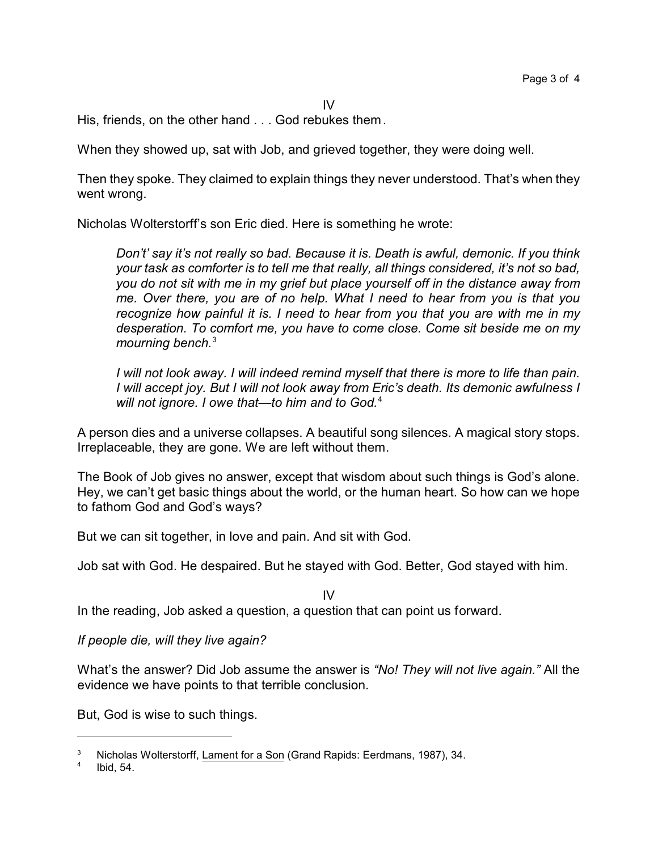IV

His, friends, on the other hand . . . God rebukes them.

When they showed up, sat with Job, and grieved together, they were doing well.

Then they spoke. They claimed to explain things they never understood. That's when they went wrong.

Nicholas Wolterstorff's son Eric died. Here is something he wrote:

*Don't' say it's not really so bad. Because it is. Death is awful, demonic. If you think your task as comforter is to tell me that really, all things considered, it's not so bad, you do not sit with me in my grief but place yourself off in the distance away from me. Over there, you are of no help. What I need to hear from you is that you recognize how painful it is. I need to hear from you that you are with me in my desperation. To comfort me, you have to come close. Come sit beside me on my mourning bench.*<sup>3</sup>

*I will not look away. I will indeed remind myself that there is more to life than pain. I will accept joy. But I will not look away from Eric's death. Its demonic awfulness I will not ignore. I owe that—to him and to God.*<sup>4</sup>

A person dies and a universe collapses. A beautiful song silences. A magical story stops. Irreplaceable, they are gone. We are left without them.

The Book of Job gives no answer, except that wisdom about such things is God's alone. Hey, we can't get basic things about the world, or the human heart. So how can we hope to fathom God and God's ways?

But we can sit together, in love and pain. And sit with God.

Job sat with God. He despaired. But he stayed with God. Better, God stayed with him.

IV

In the reading, Job asked a question, a question that can point us forward.

*If people die, will they live again?*

What's the answer? Did Job assume the answer is *"No! They will not live again."* All the evidence we have points to that terrible conclusion.

But, God is wise to such things.

<sup>3</sup> Nicholas Wolterstorff, Lament for a Son (Grand Rapids: Eerdmans, 1987), 34.

<sup>4</sup> Ibid, 54.